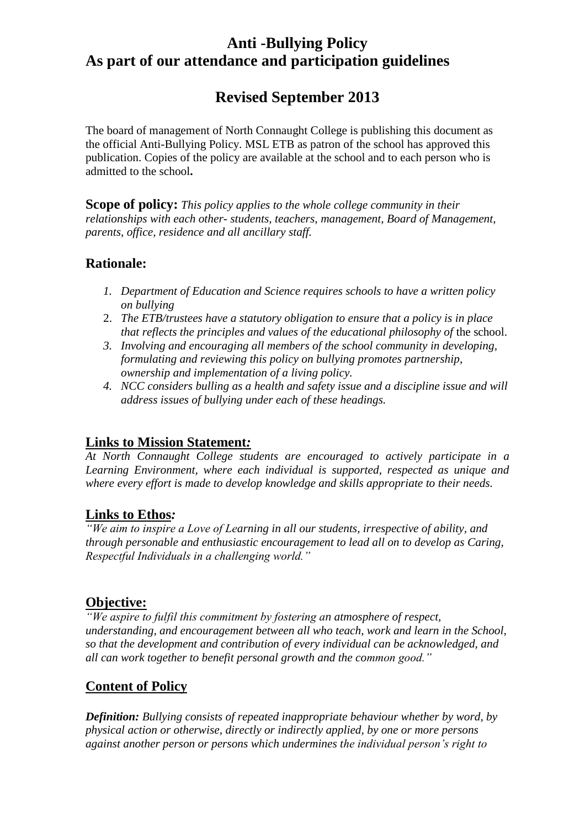# **Anti -Bullying Policy As part of our attendance and participation guidelines**

# **Revised September 2013**

The board of management of North Connaught College is publishing this document as the official Anti-Bullying Policy. MSL ETB as patron of the school has approved this publication. Copies of the policy are available at the school and to each person who is admitted to the school**.**

**Scope of policy:** *This policy applies to the whole college community in their relationships with each other- students, teachers, management, Board of Management, parents, office, residence and all ancillary staff.* 

# **Rationale:**

- *1. Department of Education and Science requires schools to have a written policy on bullying*
- 2. *The ETB/trustees have a statutory obligation to ensure that a policy is in place that reflects the principles and values of the educational philosophy of the school.*
- *3. Involving and encouraging all members of the school community in developing, formulating and reviewing this policy on bullying promotes partnership, ownership and implementation of a living policy.*
- *4. NCC considers bulling as a health and safety issue and a discipline issue and will address issues of bullying under each of these headings.*

# **Links to Mission Statement***:*

*At North Connaught College students are encouraged to actively participate in a Learning Environment, where each individual is supported, respected as unique and where every effort is made to develop knowledge and skills appropriate to their needs.*

# **Links to Ethos***:*

*"We aim to inspire a Love of Learning in all our students, irrespective of ability, and through personable and enthusiastic encouragement to lead all on to develop as Caring, Respectful Individuals in a challenging world."*

# **Objective:**

*"We aspire to fulfil this commitment by fostering an atmosphere of respect, understanding, and encouragement between all who teach, work and learn in the School, so that the development and contribution of every individual can be acknowledged, and all can work together to benefit personal growth and the common good."* 

# **Content of Policy**

*Definition: Bullying consists of repeated inappropriate behaviour whether by word, by physical action or otherwise, directly or indirectly applied, by one or more persons against another person or persons which undermines the individual person's right to*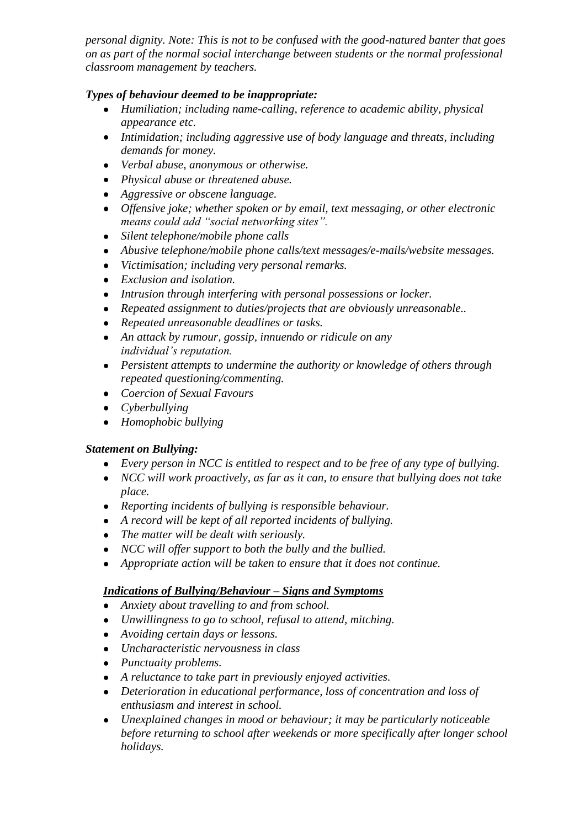*personal dignity. Note: This is not to be confused with the good-natured banter that goes on as part of the normal social interchange between students or the normal professional classroom management by teachers.*

## *Types of behaviour deemed to be inappropriate:*

- *Humiliation; including name-calling, reference to academic ability, physical appearance etc.*
- *Intimidation; including aggressive use of body language and threats, including demands for money.*
- *Verbal abuse, anonymous or otherwise.*
- *Physical abuse or threatened abuse.*
- *Aggressive or obscene language.*
- *Offensive joke; whether spoken or by email, text messaging, or other electronic means could add "social networking sites".*
- *Silent telephone/mobile phone calls*
- *Abusive telephone/mobile phone calls/text messages/e-mails/website messages.*
- *Victimisation; including very personal remarks.*
- *Exclusion and isolation.*
- *Intrusion through interfering with personal possessions or locker.*
- *Repeated assignment to duties/projects that are obviously unreasonable..*
- *Repeated unreasonable deadlines or tasks.*
- *An attack by rumour, gossip, innuendo or ridicule on any individual's reputation.*
- *Persistent attempts to undermine the authority or knowledge of others through repeated questioning/commenting.*
- *Coercion of Sexual Favours*
- *Cyberbullying*
- *Homophobic bullying*

#### *Statement on Bullying:*

- *Every person in NCC is entitled to respect and to be free of any type of bullying.*
- *NCC will work proactively, as far as it can, to ensure that bullying does not take place.*
- *Reporting incidents of bullying is responsible behaviour.*
- *A record will be kept of all reported incidents of bullying.*
- *The matter will be dealt with seriously.*
- *NCC will offer support to both the bully and the bullied.*
- *Appropriate action will be taken to ensure that it does not continue.*

# *Indications of Bullying/Behaviour – Signs and Symptoms*

- *Anxiety about travelling to and from school.*
- *Unwillingness to go to school, refusal to attend, mitching.*
- *Avoiding certain days or lessons.*
- *Uncharacteristic nervousness in class*
- *Punctuaity problems.*
- *A reluctance to take part in previously enjoyed activities.*
- *Deterioration in educational performance, loss of concentration and loss of enthusiasm and interest in school.*
- *Unexplained changes in mood or behaviour; it may be particularly noticeable before returning to school after weekends or more specifically after longer school holidays.*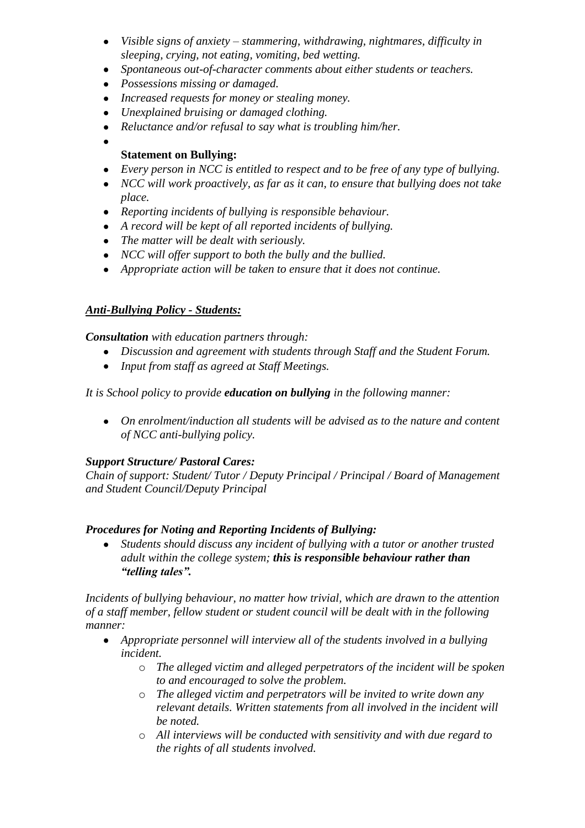- *Visible signs of anxiety – stammering, withdrawing, nightmares, difficulty in sleeping, crying, not eating, vomiting, bed wetting.*
- *Spontaneous out-of-character comments about either students or teachers.*
- *Possessions missing or damaged.*
- *Increased requests for money or stealing money.*
- *Unexplained bruising or damaged clothing.*
- *Reluctance and/or refusal to say what is troubling him/her.*
- 

### **Statement on Bullying:**

- *Every person in NCC is entitled to respect and to be free of any type of bullying.*
- *NCC will work proactively, as far as it can, to ensure that bullying does not take place.*
- *Reporting incidents of bullying is responsible behaviour.*
- *A record will be kept of all reported incidents of bullying.*
- *The matter will be dealt with seriously.*
- *NCC will offer support to both the bully and the bullied.*
- *Appropriate action will be taken to ensure that it does not continue.*

## *Anti-Bullying Policy - Students:*

#### *Consultation with education partners through:*

- *Discussion and agreement with students through Staff and the Student Forum.*
- *Input from staff as agreed at Staff Meetings.*

*It is School policy to provide education on bullying in the following manner:*

*On enrolment/induction all students will be advised as to the nature and content of NCC anti-bullying policy.* 

#### *Support Structure/ Pastoral Cares:*

*Chain of support: Student/ Tutor / Deputy Principal / Principal / Board of Management and Student Council/Deputy Principal*

#### *Procedures for Noting and Reporting Incidents of Bullying:*

*Students should discuss any incident of bullying with a tutor or another trusted*   $\bullet$ *adult within the college system; this is responsible behaviour rather than "telling tales".* 

*Incidents of bullying behaviour, no matter how trivial, which are drawn to the attention of a staff member, fellow student or student council will be dealt with in the following manner:* 

- *Appropriate personnel will interview all of the students involved in a bullying incident.* 
	- o *The alleged victim and alleged perpetrators of the incident will be spoken to and encouraged to solve the problem.*
	- o *The alleged victim and perpetrators will be invited to write down any relevant details. Written statements from all involved in the incident will be noted.*
	- o *All interviews will be conducted with sensitivity and with due regard to the rights of all students involved.*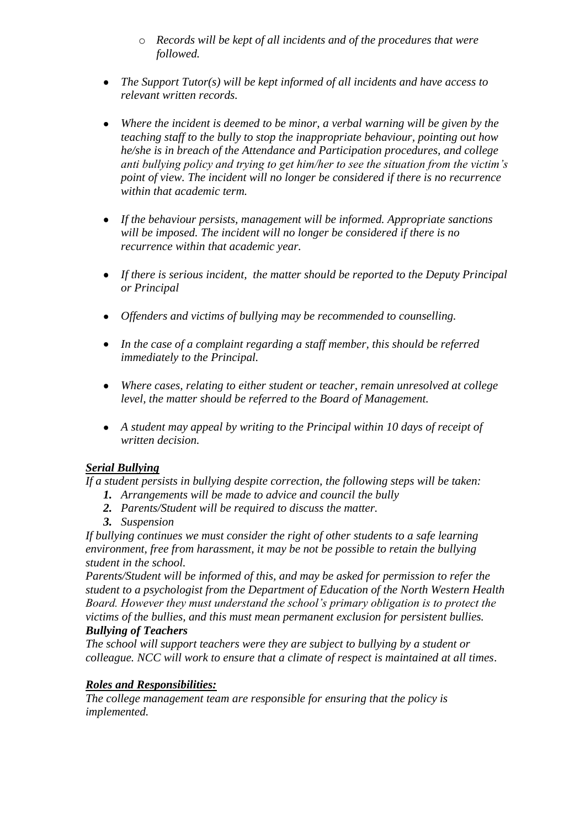- o *Records will be kept of all incidents and of the procedures that were followed.*
- *The Support Tutor(s) will be kept informed of all incidents and have access to relevant written records.*
- *Where the incident is deemed to be minor, a verbal warning will be given by the teaching staff to the bully to stop the inappropriate behaviour, pointing out how he/she is in breach of the Attendance and Participation procedures, and college anti bullying policy and trying to get him/her to see the situation from the victim's point of view. The incident will no longer be considered if there is no recurrence within that academic term.*
- *If the behaviour persists, management will be informed. Appropriate sanctions will be imposed. The incident will no longer be considered if there is no recurrence within that academic year.*
- *If there is serious incident, the matter should be reported to the Deputy Principal or Principal*
- *Offenders and victims of bullying may be recommended to counselling.*
- *In the case of a complaint regarding a staff member, this should be referred immediately to the Principal.*
- *Where cases, relating to either student or teacher, remain unresolved at college level, the matter should be referred to the Board of Management.*
- *A student may appeal by writing to the Principal within 10 days of receipt of written decision.*

# *Serial Bullying*

*If a student persists in bullying despite correction, the following steps will be taken:*

- *1. Arrangements will be made to advice and council the bully*
- *2. Parents/Student will be required to discuss the matter.*
- *3. Suspension*

*If bullying continues we must consider the right of other students to a safe learning environment, free from harassment, it may be not be possible to retain the bullying student in the school.*

*Parents/Student will be informed of this, and may be asked for permission to refer the student to a psychologist from the Department of Education of the North Western Health Board. However they must understand the school's primary obligation is to protect the victims of the bullies, and this must mean permanent exclusion for persistent bullies. Bullying of Teachers*

*The school will support teachers were they are subject to bullying by a student or colleague. NCC will work to ensure that a climate of respect is maintained at all times*.

# *Roles and Responsibilities:*

*The college management team are responsible for ensuring that the policy is implemented.*